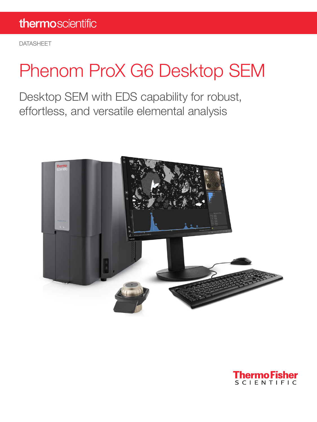DATASHEET

# Phenom ProX G6 Desktop SEM

Desktop SEM with EDS capability for robust, effortless, and versatile elemental analysis



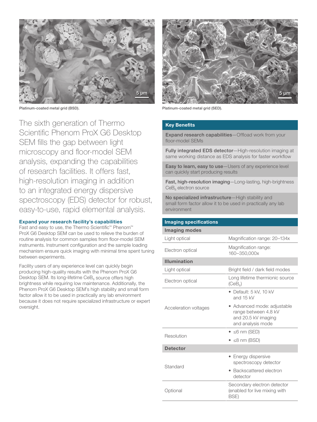

Platinum-coated metal grid (BSD). Platinum-coated metal grid (SED).

The sixth generation of Thermo Scientific Phenom ProX G6 Desktop SEM fills the gap between light microscopy and floor-model SEM analysis, expanding the capabilities of research facilities. It offers fast, high-resolution imaging in addition to an integrated energy dispersive spectroscopy (EDS) detector for robust, easy-to-use, rapid elemental analysis.

### Expand your research facility's capabilities

Fast and easy to use, the Thermo Scientific™ Phenom™ ProX G6 Desktop SEM can be used to relieve the burden of routine analysis for common samples from floor-model SEM instruments. Instrument configuration and the sample loading mechanism ensure quick imaging with minimal time spent tuning between experiments.

Facility users of any experience level can quickly begin producing high-quality results with the Phenom ProX G6 Desktop SEM. Its long-lifetime  $\text{CeB}_6$  source offers high brightness while requiring low maintenance. Additionally, the Phenom ProX G6 Desktop SEM's high stability and small form factor allow it to be used in practically any lab environment because it does not require specialized infrastructure or expert oversight.



### Key Benefits

Expand research capabilities-Offload work from your floor-model SEMs

Fully integrated EDS detector-High-resolution imaging at same working distance as EDS analysis for faster workflow

Easy to learn, easy to use-Users of any experience level can quickly start producing results

Fast, high-resolution imaging-Long-lasting, high-brightness  $CeB<sub>6</sub>$  electron source

No specialized infrastructure-High stability and small form factor allow it to be used in practically any lab environment

| <b>Imaging specifications</b> |                                                                                                 |
|-------------------------------|-------------------------------------------------------------------------------------------------|
| <b>Imaging modes</b>          |                                                                                                 |
| Light optical                 | Magnification range: 20-134x                                                                    |
| Electron optical              | Magnification range:<br>160-350,000x                                                            |
| <b>Illumination</b>           |                                                                                                 |
| Light optical                 | Bright field / dark field modes                                                                 |
| Electron optical              | Long lifetime thermionic source<br>(CeB <sub>a</sub> )                                          |
| Acceleration voltages         | $\bullet$ Default: 5 kV, 10 kV<br>and 15 kV                                                     |
|                               | • Advanced mode: adjustable<br>range between 4.8 kV<br>and 20.5 kV imaging<br>and analysis mode |
| Resolution                    | $\bullet$ $\leq$ 6 nm (SED)                                                                     |
|                               | $\bullet$ $\leq$ 8 nm (BSD)                                                                     |
| <b>Detector</b>               |                                                                                                 |
| Standard                      | • Energy dispersive<br>spectroscopy detector                                                    |
|                               | Backscattered electron<br>detector                                                              |
| Optional                      | Secondary electron detector<br>(enabled for live mixing with<br><b>BSE)</b>                     |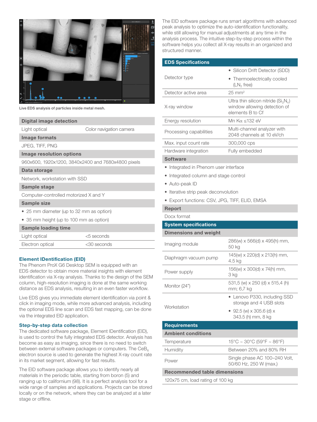

Live EDS analysis of particles inside metal mesh.

| Digital image detection                            |                         |  |
|----------------------------------------------------|-------------------------|--|
| Light optical                                      | Color navigation camera |  |
| Image formats                                      |                         |  |
| JPEG, TIFF, PNG                                    |                         |  |
| Image resolution options                           |                         |  |
| 960x600, 1920x1200, 3840x2400 and 7680x4800 pixels |                         |  |
| Data storage                                       |                         |  |
| Network, workstation with SSD                      |                         |  |
| Sample stage                                       |                         |  |
| Computer-controlled motorized X and Y              |                         |  |
| <b>Sample size</b>                                 |                         |  |
| • 25 mm diameter (up to 32 mm as option)           |                         |  |
| • 35 mm height (up to 100 mm as option)            |                         |  |
| <b>Sample loading time</b>                         |                         |  |
| Light optical                                      | <5 seconds              |  |
| Electron optical                                   | <30 seconds             |  |
|                                                    |                         |  |

### Element IDentification (EID)

The Phenom ProX G6 Desktop SEM is equipped with an EDS detector to obtain more material insights with element identification via X-ray analysis. Thanks to the design of the SEM column, high-resolution imaging is done at the same working distance as EDS analysis, resulting in an even faster workflow.

Live EDS gives you immediate element identification via point & click in imaging mode, while more advanced analysis, including the optional EDS line scan and EDS fast mapping, can be done via the integrated EID application.

### Step-by-step data collection

The dedicated software package, Element IDentification (EID), is used to control the fully integrated EDS detector. Analysis has become as easy as imaging, since there is no need to switch between external software packages or computers. The  $CeB<sub>6</sub>$ electron source is used to generate the highest X-ray count rate in its market segment, allowing for fast results.

The EID software package allows you to identify nearly all materials in the periodic table, starting from boron (5) and ranging up to californium (98). It is a perfect analysis tool for a wide range of samples and applications. Projects can be stored locally or on the network, where they can be analyzed at a later stage or offline.

The EID software package runs smart algorithms with advanced peak analysis to optimize the auto-identification functionality, while still allowing for manual adjustments at any time in the analysis process. The intuitive step-by-step process within the software helps you collect all X-ray results in an organized and structured manner.

| <b>EDS Specifications</b> |                                                                                            |
|---------------------------|--------------------------------------------------------------------------------------------|
|                           | • Silicon Drift Detector (SDD)                                                             |
| Detector type             | • Thermoelectrically cooled<br>$(LN2$ free)                                                |
| Detector active area      | $25 \text{ mm}^2$                                                                          |
| X-ray window              | Ultra thin silicon nitride ( $Si3N4$ )<br>window allowing detection of<br>elements B to Cf |
| Energy resolution         | Mn Kα <132 eV                                                                              |
| Processing capabilities   | Multi-channel analyzer with<br>2048 channels at 10 eV/ch                                   |
| Max. input count rate     | 300,000 cps                                                                                |
| Hardware integration      | Fully embedded                                                                             |
| <b>Software</b>           |                                                                                            |

### **Software**

- Integrated in Phenom user interface
- Integrated column and stage control
- Auto-peak ID
- Iterative strip peak deconvolution
- Export functions: CSV, JPG, TIFF, ELID, EMSA

### Report

Docx format

| <b>System specifications</b> |                                                              |
|------------------------------|--------------------------------------------------------------|
| <b>Dimensions and weight</b> |                                                              |
| Imaging module               | $286(w) \times 566(d) \times 495(h)$ mm,<br>50 kg            |
| Diaphragm vacuum pump        | 145(w) x 220(d) x 213(h) mm,<br>4.5 kg                       |
| Power supply                 | 156(w) x 300(d) x 74(h) mm,<br>3 ka                          |
| Monitor (24")                | 531,5 (w) x 250 (d) x 515,4 (h)<br>mm; 6,7 kg                |
| Workstation                  | • Lenovo P330, including SSD<br>storage and 4 USB slots      |
|                              | • 92.5 (w) $\times$ 305.6 (d) $\times$<br>343.5 (h) mm, 8 kg |
| <b>Requirements</b>          |                                                              |
| <b>Ambient conditions</b>    |                                                              |
|                              |                                                              |

| Temperature     | $15^{\circ}$ C ~ 30 $^{\circ}$ C (59 $^{\circ}$ F ~ 86 $^{\circ}$ F) |
|-----------------|----------------------------------------------------------------------|
| <b>Humidity</b> | Between 20% and 80% RH                                               |
| Power           | Single phase AC 100-240 Volt,<br>50/60 Hz, 250 W (max.)              |
|                 |                                                                      |

Recommended table dimensions

120x75 cm, load rating of 100 kg